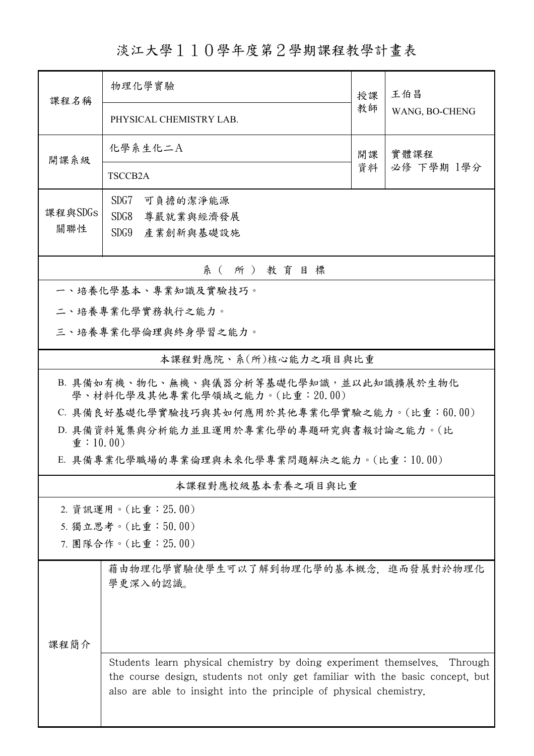淡江大學110學年度第2學期課程教學計畫表

| 課程名稱                                                                      | 物理化學實驗                                                                                                                                                                                                                   | 授課 | 王伯昌            |  |  |
|---------------------------------------------------------------------------|--------------------------------------------------------------------------------------------------------------------------------------------------------------------------------------------------------------------------|----|----------------|--|--|
|                                                                           | PHYSICAL CHEMISTRY LAB.                                                                                                                                                                                                  | 教師 | WANG, BO-CHENG |  |  |
| 開課系級                                                                      | 化學系生化二A                                                                                                                                                                                                                  | 開課 | 實體課程           |  |  |
|                                                                           | TSCCB <sub>2</sub> A                                                                                                                                                                                                     | 資料 | 必修 下學期 1學分     |  |  |
|                                                                           | SDG7<br>可負擔的潔淨能源                                                                                                                                                                                                         |    |                |  |  |
| 課程與SDGs                                                                   | SDG8<br>尊嚴就業與經濟發展                                                                                                                                                                                                        |    |                |  |  |
| 關聯性                                                                       | SDG9<br>產業創新與基礎設施                                                                                                                                                                                                        |    |                |  |  |
| 系(所)教育目標                                                                  |                                                                                                                                                                                                                          |    |                |  |  |
| 一、培養化學基本、專業知識及實驗技巧。                                                       |                                                                                                                                                                                                                          |    |                |  |  |
| 二、培養專業化學實務執行之能力。                                                          |                                                                                                                                                                                                                          |    |                |  |  |
| 三、培養專業化學倫理與終身學習之能力。                                                       |                                                                                                                                                                                                                          |    |                |  |  |
| 本課程對應院、系(所)核心能力之項目與比重                                                     |                                                                                                                                                                                                                          |    |                |  |  |
| B. 具備如有機、物化、無機、與儀器分析等基礎化學知識,並以此知識擴展於生物化<br>學、材料化學及其他專業化學領域之能力。(比重:20.00)  |                                                                                                                                                                                                                          |    |                |  |  |
| C. 具備良好基礎化學實驗技巧與其如何應用於其他專業化學實驗之能力。(比重:60.00)                              |                                                                                                                                                                                                                          |    |                |  |  |
| D. 具備資料蒐集與分析能力並且運用於專業化學的專題研究與書報討論之能力。(比<br>$\hat{\mathbf{\Psi}}$ : 10.00) |                                                                                                                                                                                                                          |    |                |  |  |
| E. 具備專業化學職場的專業倫理與未來化學專業問題解決之能力。(比重:10.00)                                 |                                                                                                                                                                                                                          |    |                |  |  |
| 本課程對應校級基本素養之項目與比重                                                         |                                                                                                                                                                                                                          |    |                |  |  |
| 2. 資訊運用。(比重: 25.00)                                                       |                                                                                                                                                                                                                          |    |                |  |  |
|                                                                           | 5. 獨立思考。(比重:50.00)                                                                                                                                                                                                       |    |                |  |  |
|                                                                           | 7. 團隊合作。(比重: 25.00)                                                                                                                                                                                                      |    |                |  |  |
|                                                                           | 藉由物理化學實驗使學生可以了解到物理化學的基本概念,進而發展對於物理化<br>學更深入的認識。                                                                                                                                                                          |    |                |  |  |
|                                                                           |                                                                                                                                                                                                                          |    |                |  |  |
| 課程簡介                                                                      |                                                                                                                                                                                                                          |    |                |  |  |
|                                                                           | Students learn physical chemistry by doing experiment themselves.<br>the course design, students not only get familiar with the basic concept, but<br>also are able to insight into the principle of physical chemistry. |    | Through        |  |  |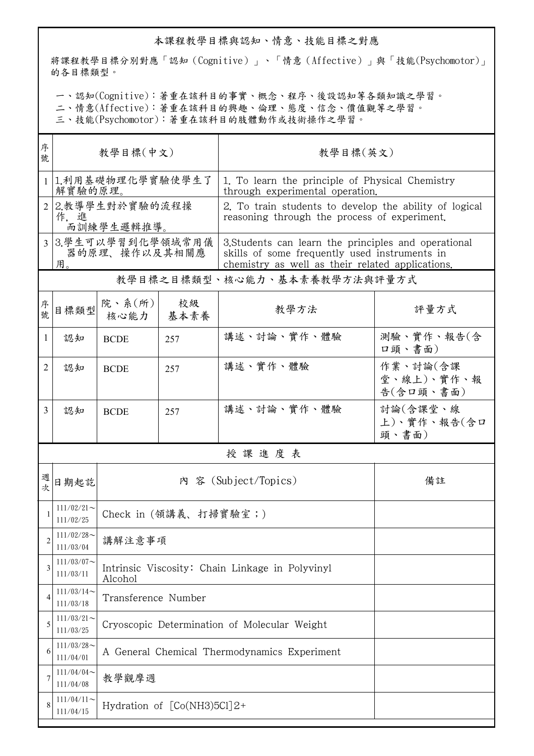## 本課程教學目標與認知、情意、技能目標之對應

將課程教學目標分別對應「認知(Cognitive)」、「情意(Affective)」與「技能(Psychomotor)」 的各目標類型。

一、認知(Cognitive):著重在該科目的事實、概念、程序、後設認知等各類知識之學習。

二、情意(Affective):著重在該科目的興趣、倫理、態度、信念、價值觀等之學習。

三、技能(Psychomotor):著重在該科目的肢體動作或技術操作之學習。

| 序<br>號 | 教學目標(中文)                                  |                                                            |                                              | 教學目標(英文)                                                                                                                                                  |                                     |  |  |
|--------|-------------------------------------------|------------------------------------------------------------|----------------------------------------------|-----------------------------------------------------------------------------------------------------------------------------------------------------------|-------------------------------------|--|--|
|        | 1 1.利用基礎物理化學實驗使學生了<br>解實驗的原理。             |                                                            |                                              | 1. To learn the principle of Physical Chemistry<br>through experimental operation.                                                                        |                                     |  |  |
|        | 2 2.教導學生對於實驗的流程操<br>作,進<br>而訓練學生邏輯推導。     |                                                            |                                              | 2. To train students to develop the ability of logical<br>reasoning through the process of experiment.                                                    |                                     |  |  |
|        | 3 3.學生可以學習到化學領域常用儀<br>器的原理、操作以及其相關應<br>用。 |                                                            |                                              | 3. Students can learn the principles and operational<br>skills of some frequently used instruments in<br>chemistry as well as their related applications. |                                     |  |  |
|        |                                           |                                                            |                                              | 教學目標之目標類型、核心能力、基本素養教學方法與評量方式                                                                                                                              |                                     |  |  |
| 序號     | 日標類型                                      | 院、系(所)<br>核心能力                                             | 校級<br>基本素養                                   | 教學方法                                                                                                                                                      | 評量方式                                |  |  |
| 1      | 認知                                        | <b>BCDE</b>                                                | 257                                          | 講述、討論、實作、體驗                                                                                                                                               | 測驗、實作、報告(含<br>口頭、書面)                |  |  |
| 2      | 認知                                        | <b>BCDE</b>                                                | 257                                          | 講述、實作、體驗                                                                                                                                                  | 作業、討論(含課<br>堂、線上)、實作、報<br>告(含口頭、書面) |  |  |
| 3      | 認知                                        | <b>BCDE</b>                                                | 257                                          | 講述、討論、實作、體驗                                                                                                                                               | 討論(含課堂、線<br>上)、實作、報告(含口<br>頭、書面)    |  |  |
|        | 授課進度表                                     |                                                            |                                              |                                                                                                                                                           |                                     |  |  |
| 週次     | 日期起訖                                      | 內 容 (Subject/Topics)                                       |                                              |                                                                                                                                                           | 備註                                  |  |  |
|        | $111/02/21$ ~<br>111/02/25                |                                                            | Check in (領講義、打掃實驗室;)                        |                                                                                                                                                           |                                     |  |  |
| 2      | 111/02/28<br>111/03/04                    | 講解注意事項                                                     |                                              |                                                                                                                                                           |                                     |  |  |
| 3      | $111/03/07$ ~<br>111/03/11                | Intrinsic Viscosity: Chain Linkage in Polyvinyl<br>Alcohol |                                              |                                                                                                                                                           |                                     |  |  |
| 4      | $111/03/14$ ~<br>111/03/18                | Transference Number                                        |                                              |                                                                                                                                                           |                                     |  |  |
| 5      | $111/03/21$ ~<br>111/03/25                |                                                            | Cryoscopic Determination of Molecular Weight |                                                                                                                                                           |                                     |  |  |
| 6      | $111/03/28$ ~<br>111/04/01                |                                                            | A General Chemical Thermodynamics Experiment |                                                                                                                                                           |                                     |  |  |
|        | $111/04/04$ ~<br>111/04/08                | 教學觀摩週                                                      |                                              |                                                                                                                                                           |                                     |  |  |
|        | $111/04/11$ ~<br>111/04/15                | Hydration of [Co(NH3)5Cl]2+                                |                                              |                                                                                                                                                           |                                     |  |  |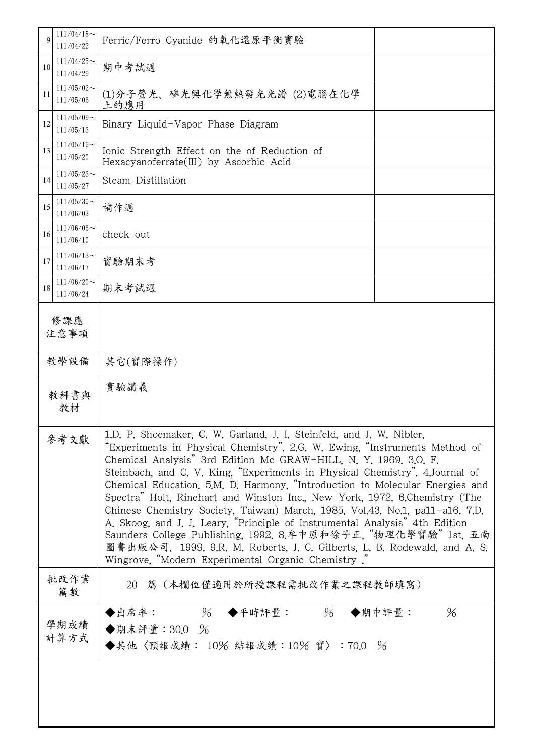| 9            | $111/04/18$ ~<br>111/04/22    | Ferric/Ferro Cyanide 的氧化還原平衡實驗                                                                                                                                                                                                                                                                                                                                                                                                                                                                                                                                                                                                                                                                                                                                                                                                          |                |  |  |
|--------------|-------------------------------|-----------------------------------------------------------------------------------------------------------------------------------------------------------------------------------------------------------------------------------------------------------------------------------------------------------------------------------------------------------------------------------------------------------------------------------------------------------------------------------------------------------------------------------------------------------------------------------------------------------------------------------------------------------------------------------------------------------------------------------------------------------------------------------------------------------------------------------------|----------------|--|--|
| 10           | $111/04/25$ ~<br>111/04/29    | 期中考試週                                                                                                                                                                                                                                                                                                                                                                                                                                                                                                                                                                                                                                                                                                                                                                                                                                   |                |  |  |
| 11           | $111/05/02$ ~<br>111/05/06    | (1)分子螢光、磷光與化學無熱發光光譜 (2)電腦在化學<br>上的應用                                                                                                                                                                                                                                                                                                                                                                                                                                                                                                                                                                                                                                                                                                                                                                                                    |                |  |  |
| 12           | $111/05/09$ ~<br>111/05/13    | Binary Liquid-Vapor Phase Diagram                                                                                                                                                                                                                                                                                                                                                                                                                                                                                                                                                                                                                                                                                                                                                                                                       |                |  |  |
| 13           | $111/05/16 \sim$<br>111/05/20 | Ionic Strength Effect on the of Reduction of<br>Hexacyanoferrate(III) by Ascorbic Acid                                                                                                                                                                                                                                                                                                                                                                                                                                                                                                                                                                                                                                                                                                                                                  |                |  |  |
| 14           | $111/05/23$ ~<br>111/05/27    | Steam Distillation                                                                                                                                                                                                                                                                                                                                                                                                                                                                                                                                                                                                                                                                                                                                                                                                                      |                |  |  |
| 15           | $111/05/30$ ~<br>111/06/03    | 補作週                                                                                                                                                                                                                                                                                                                                                                                                                                                                                                                                                                                                                                                                                                                                                                                                                                     |                |  |  |
| 16           | $111/06/06$ ~<br>111/06/10    | check out                                                                                                                                                                                                                                                                                                                                                                                                                                                                                                                                                                                                                                                                                                                                                                                                                               |                |  |  |
| 17           | $111/06/13$ ~<br>111/06/17    | 實驗期末考                                                                                                                                                                                                                                                                                                                                                                                                                                                                                                                                                                                                                                                                                                                                                                                                                                   |                |  |  |
| 18           | $111/06/20$ ~<br>111/06/24    | 期末考試週                                                                                                                                                                                                                                                                                                                                                                                                                                                                                                                                                                                                                                                                                                                                                                                                                                   |                |  |  |
| 修課應<br>注意事項  |                               |                                                                                                                                                                                                                                                                                                                                                                                                                                                                                                                                                                                                                                                                                                                                                                                                                                         |                |  |  |
| 教學設備         |                               | 其它(實際操作)                                                                                                                                                                                                                                                                                                                                                                                                                                                                                                                                                                                                                                                                                                                                                                                                                                |                |  |  |
| 教科書與<br>教材   |                               | 實驗講義                                                                                                                                                                                                                                                                                                                                                                                                                                                                                                                                                                                                                                                                                                                                                                                                                                    |                |  |  |
| 參考文獻         |                               | 1.D. P. Shoemaker, C. W. Garland, J. I. Steinfeld, and J. W. Nibler,<br>"Experiments in Physical Chemistry". 2.G. W. Ewing, "Instruments Method of<br>Chemical Analysis" 3rd Edition Mc GRAW-HILL, N. Y. 1969, 3.O. F.<br>Steinbach, and C. V. King, "Experiments in Physical Chemistry". 4.Journal of<br>Chemical Education, 5.M. D. Harmony, "Introduction to Molecular Energies and<br>Spectra" Holt, Rinehart and Winston Inc., New York, 1972. 6.Chemistry (The<br>Chinese Chemistry Society, Taiwan) March, 1985, Vol.43, No.1, pa11-a16. 7.D.<br>A. Skoog, and J. J. Leary, "Principle of Instrumental Analysis" 4th Edition<br>Saunders College Publishing, 1992. 8.牟中原和徐子正, "物理化學實驗" 1st. 五南<br>圖書出版公司, 1999. 9.R. M. Roberts, J. C. Gilberts, L. B. Rodewald, and A. S.<br>Wingrove, "Modern Experimental Organic Chemistry". |                |  |  |
|              | 批改作業<br>篇數                    | 篇(本欄位僅適用於所授課程需批改作業之課程教師填寫)<br>20                                                                                                                                                                                                                                                                                                                                                                                                                                                                                                                                                                                                                                                                                                                                                                                                        |                |  |  |
| 學期成績<br>計算方式 |                               | $\%$<br>$\%$<br>◆出席率:<br>◆平時評量:<br>◆期末評量: 30.0 %<br>◆其他〈預報成績: 10% 結報成績:10% 實〉:70.0 %                                                                                                                                                                                                                                                                                                                                                                                                                                                                                                                                                                                                                                                                                                                                                    | $\%$<br>◆期中評量: |  |  |
|              |                               |                                                                                                                                                                                                                                                                                                                                                                                                                                                                                                                                                                                                                                                                                                                                                                                                                                         |                |  |  |